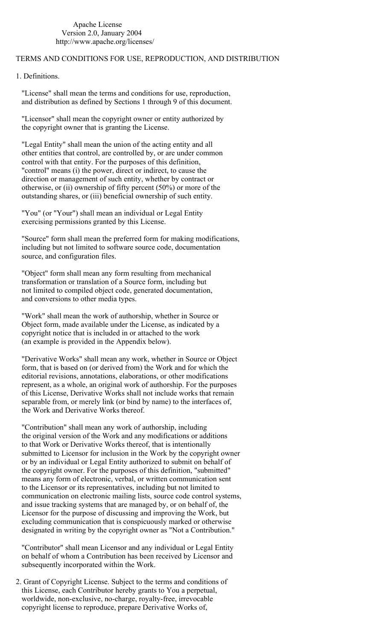## Apache License Version 2.0, January 2004 http://www.apache.org/licenses/

## TERMS AND CONDITIONS FOR USE, REPRODUCTION, AND DISTRIBUTION

1. Definitions.

 "License" shall mean the terms and conditions for use, reproduction, and distribution as defined by Sections 1 through 9 of this document.

 "Licensor" shall mean the copyright owner or entity authorized by the copyright owner that is granting the License.

 "Legal Entity" shall mean the union of the acting entity and all other entities that control, are controlled by, or are under common control with that entity. For the purposes of this definition, "control" means (i) the power, direct or indirect, to cause the direction or management of such entity, whether by contract or otherwise, or (ii) ownership of fifty percent (50%) or more of the outstanding shares, or (iii) beneficial ownership of such entity.

 "You" (or "Your") shall mean an individual or Legal Entity exercising permissions granted by this License.

 "Source" form shall mean the preferred form for making modifications, including but not limited to software source code, documentation source, and configuration files.

 "Object" form shall mean any form resulting from mechanical transformation or translation of a Source form, including but not limited to compiled object code, generated documentation, and conversions to other media types.

 "Work" shall mean the work of authorship, whether in Source or Object form, made available under the License, as indicated by a copyright notice that is included in or attached to the work (an example is provided in the Appendix below).

 "Derivative Works" shall mean any work, whether in Source or Object form, that is based on (or derived from) the Work and for which the editorial revisions, annotations, elaborations, or other modifications represent, as a whole, an original work of authorship. For the purposes of this License, Derivative Works shall not include works that remain separable from, or merely link (or bind by name) to the interfaces of, the Work and Derivative Works thereof.

 "Contribution" shall mean any work of authorship, including the original version of the Work and any modifications or additions to that Work or Derivative Works thereof, that is intentionally submitted to Licensor for inclusion in the Work by the copyright owner or by an individual or Legal Entity authorized to submit on behalf of the copyright owner. For the purposes of this definition, "submitted" means any form of electronic, verbal, or written communication sent to the Licensor or its representatives, including but not limited to communication on electronic mailing lists, source code control systems, and issue tracking systems that are managed by, or on behalf of, the Licensor for the purpose of discussing and improving the Work, but excluding communication that is conspicuously marked or otherwise designated in writing by the copyright owner as "Not a Contribution."

 "Contributor" shall mean Licensor and any individual or Legal Entity on behalf of whom a Contribution has been received by Licensor and subsequently incorporated within the Work.

 2. Grant of Copyright License. Subject to the terms and conditions of this License, each Contributor hereby grants to You a perpetual, worldwide, non-exclusive, no-charge, royalty-free, irrevocable copyright license to reproduce, prepare Derivative Works of,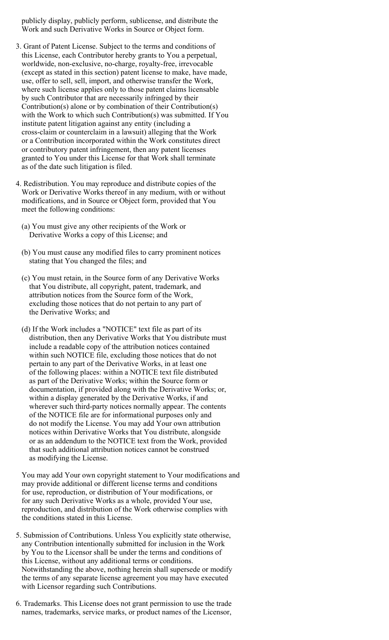publicly display, publicly perform, sublicense, and distribute the Work and such Derivative Works in Source or Object form.

- 3. Grant of Patent License. Subject to the terms and conditions of this License, each Contributor hereby grants to You a perpetual, worldwide, non-exclusive, no-charge, royalty-free, irrevocable (except as stated in this section) patent license to make, have made, use, offer to sell, sell, import, and otherwise transfer the Work, where such license applies only to those patent claims licensable by such Contributor that are necessarily infringed by their Contribution(s) alone or by combination of their Contribution(s) with the Work to which such Contribution(s) was submitted. If You institute patent litigation against any entity (including a cross-claim or counterclaim in a lawsuit) alleging that the Work or a Contribution incorporated within the Work constitutes direct or contributory patent infringement, then any patent licenses granted to You under this License for that Work shall terminate as of the date such litigation is filed.
- 4. Redistribution. You may reproduce and distribute copies of the Work or Derivative Works thereof in any medium, with or without modifications, and in Source or Object form, provided that You meet the following conditions:
	- (a) You must give any other recipients of the Work or Derivative Works a copy of this License; and
	- (b) You must cause any modified files to carry prominent notices stating that You changed the files; and
	- (c) You must retain, in the Source form of any Derivative Works that You distribute, all copyright, patent, trademark, and attribution notices from the Source form of the Work, excluding those notices that do not pertain to any part of the Derivative Works; and
	- (d) If the Work includes a "NOTICE" text file as part of its distribution, then any Derivative Works that You distribute must include a readable copy of the attribution notices contained within such NOTICE file, excluding those notices that do not pertain to any part of the Derivative Works, in at least one of the following places: within a NOTICE text file distributed as part of the Derivative Works; within the Source form or documentation, if provided along with the Derivative Works; or, within a display generated by the Derivative Works, if and wherever such third-party notices normally appear. The contents of the NOTICE file are for informational purposes only and do not modify the License. You may add Your own attribution notices within Derivative Works that You distribute, alongside or as an addendum to the NOTICE text from the Work, provided that such additional attribution notices cannot be construed as modifying the License.

 You may add Your own copyright statement to Your modifications and may provide additional or different license terms and conditions for use, reproduction, or distribution of Your modifications, or for any such Derivative Works as a whole, provided Your use, reproduction, and distribution of the Work otherwise complies with the conditions stated in this License.

- 5. Submission of Contributions. Unless You explicitly state otherwise, any Contribution intentionally submitted for inclusion in the Work by You to the Licensor shall be under the terms and conditions of this License, without any additional terms or conditions. Notwithstanding the above, nothing herein shall supersede or modify the terms of any separate license agreement you may have executed with Licensor regarding such Contributions.
- 6. Trademarks. This License does not grant permission to use the trade names, trademarks, service marks, or product names of the Licensor,